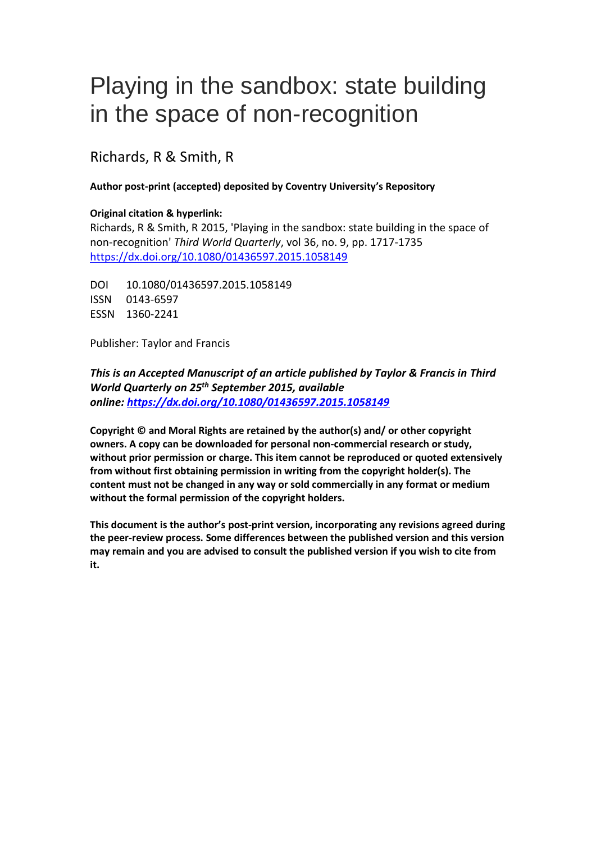# Playing in the sandbox: state building in the space of non-recognition

Richards, R & Smith, R

## **Author post-print (accepted) deposited by Coventry University's Repository**

## **Original citation & hyperlink:**

Richards, R & Smith, R 2015, 'Playing in the sandbox: state building in the space of non-recognition' *Third World Quarterly*, vol 36, no. 9, pp. 1717-1735 <https://dx.doi.org/10.1080/01436597.2015.1058149>

DOI 10.1080/01436597.2015.1058149 ISSN 0143-6597 ESSN 1360-2241

Publisher: Taylor and Francis

*This is an Accepted Manuscript of an article published by Taylor & Francis in Third World Quarterly on 25th September 2015, available online: <https://dx.doi.org/10.1080/01436597.2015.1058149>*

**Copyright © and Moral Rights are retained by the author(s) and/ or other copyright owners. A copy can be downloaded for personal non-commercial research or study, without prior permission or charge. This item cannot be reproduced or quoted extensively from without first obtaining permission in writing from the copyright holder(s). The content must not be changed in any way or sold commercially in any format or medium without the formal permission of the copyright holders.** 

**This document is the author's post-print version, incorporating any revisions agreed during the peer-review process. Some differences between the published version and this version may remain and you are advised to consult the published version if you wish to cite from it.**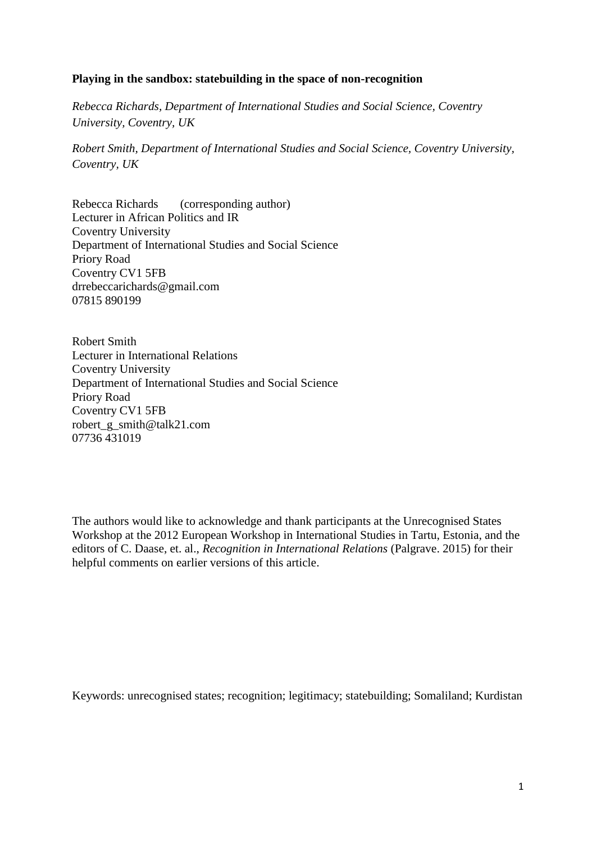## **Playing in the sandbox: statebuilding in the space of non-recognition**

*Rebecca Richards, Department of International Studies and Social Science, Coventry University, Coventry, UK*

*Robert Smith, Department of International Studies and Social Science, Coventry University, Coventry, UK*

Rebecca Richards (corresponding author) Lecturer in African Politics and IR Coventry University Department of International Studies and Social Science Priory Road Coventry CV1 5FB drrebeccarichards@gmail.com 07815 890199

Robert Smith Lecturer in International Relations Coventry University Department of International Studies and Social Science Priory Road Coventry CV1 5FB robert\_g\_smith@talk21.com 07736 431019

The authors would like to acknowledge and thank participants at the Unrecognised States Workshop at the 2012 European Workshop in International Studies in Tartu, Estonia, and the editors of C. Daase, et. al., *Recognition in International Relations* (Palgrave. 2015) for their helpful comments on earlier versions of this article.

Keywords: unrecognised states; recognition; legitimacy; statebuilding; Somaliland; Kurdistan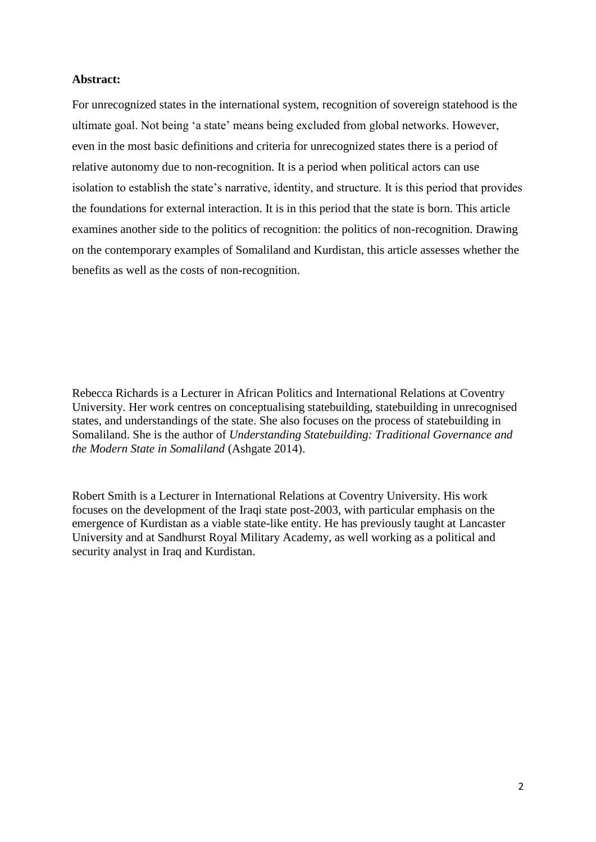## **Abstract:**

For unrecognized states in the international system, recognition of sovereign statehood is the ultimate goal. Not being 'a state' means being excluded from global networks. However, even in the most basic definitions and criteria for unrecognized states there is a period of relative autonomy due to non-recognition. It is a period when political actors can use isolation to establish the state's narrative, identity, and structure. It is this period that provides the foundations for external interaction. It is in this period that the state is born. This article examines another side to the politics of recognition: the politics of non-recognition. Drawing on the contemporary examples of Somaliland and Kurdistan, this article assesses whether the benefits as well as the costs of non-recognition.

Rebecca Richards is a Lecturer in African Politics and International Relations at Coventry University. Her work centres on conceptualising statebuilding, statebuilding in unrecognised states, and understandings of the state. She also focuses on the process of statebuilding in Somaliland. She is the author of *Understanding Statebuilding: Traditional Governance and the Modern State in Somaliland* (Ashgate 2014).

Robert Smith is a Lecturer in International Relations at Coventry University. His work focuses on the development of the Iraqi state post-2003, with particular emphasis on the emergence of Kurdistan as a viable state-like entity. He has previously taught at Lancaster University and at Sandhurst Royal Military Academy, as well working as a political and security analyst in Iraq and Kurdistan.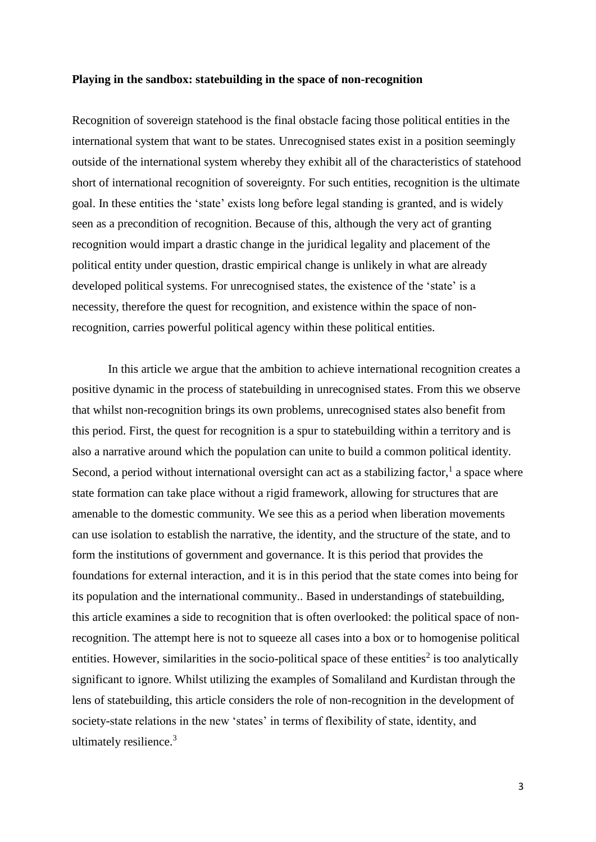#### **Playing in the sandbox: statebuilding in the space of non-recognition**

Recognition of sovereign statehood is the final obstacle facing those political entities in the international system that want to be states. Unrecognised states exist in a position seemingly outside of the international system whereby they exhibit all of the characteristics of statehood short of international recognition of sovereignty. For such entities, recognition is the ultimate goal. In these entities the 'state' exists long before legal standing is granted, and is widely seen as a precondition of recognition. Because of this, although the very act of granting recognition would impart a drastic change in the juridical legality and placement of the political entity under question, drastic empirical change is unlikely in what are already developed political systems. For unrecognised states, the existence of the 'state' is a necessity, therefore the quest for recognition, and existence within the space of nonrecognition, carries powerful political agency within these political entities.

In this article we argue that the ambition to achieve international recognition creates a positive dynamic in the process of statebuilding in unrecognised states. From this we observe that whilst non-recognition brings its own problems, unrecognised states also benefit from this period. First, the quest for recognition is a spur to statebuilding within a territory and is also a narrative around which the population can unite to build a common political identity. Second, a period without international oversight can act as a stabilizing factor,<sup>1</sup> a space where state formation can take place without a rigid framework, allowing for structures that are amenable to the domestic community. We see this as a period when liberation movements can use isolation to establish the narrative, the identity, and the structure of the state, and to form the institutions of government and governance. It is this period that provides the foundations for external interaction, and it is in this period that the state comes into being for its population and the international community.. Based in understandings of statebuilding, this article examines a side to recognition that is often overlooked: the political space of nonrecognition. The attempt here is not to squeeze all cases into a box or to homogenise political entities. However, similarities in the socio-political space of these entities<sup>2</sup> is too analytically significant to ignore. Whilst utilizing the examples of Somaliland and Kurdistan through the lens of statebuilding, this article considers the role of non-recognition in the development of society-state relations in the new 'states' in terms of flexibility of state, identity, and ultimately resilience. $3$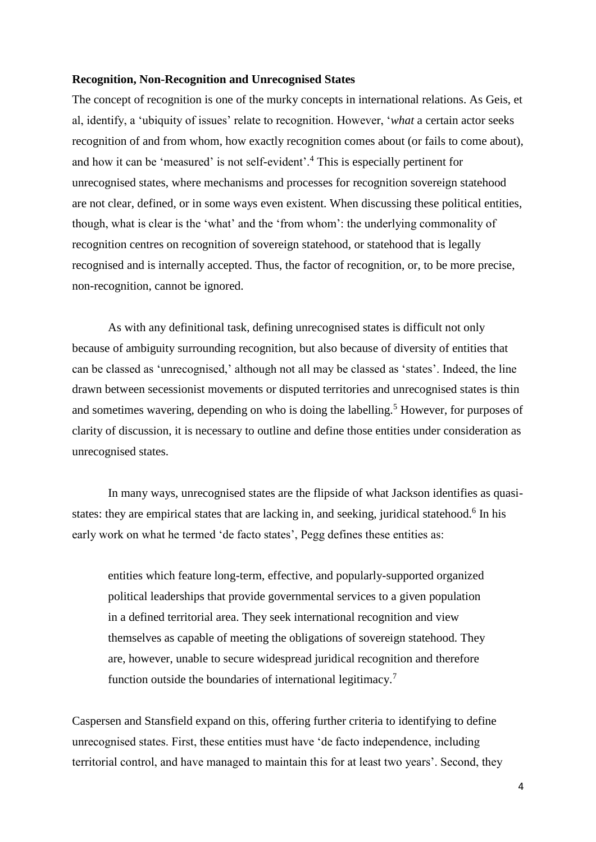#### **Recognition, Non-Recognition and Unrecognised States**

The concept of recognition is one of the murky concepts in international relations. As Geis, et al, identify, a 'ubiquity of issues' relate to recognition. However, '*what* a certain actor seeks recognition of and from whom, how exactly recognition comes about (or fails to come about), and how it can be 'measured' is not self-evident'.<sup>4</sup> This is especially pertinent for unrecognised states, where mechanisms and processes for recognition sovereign statehood are not clear, defined, or in some ways even existent. When discussing these political entities, though, what is clear is the 'what' and the 'from whom': the underlying commonality of recognition centres on recognition of sovereign statehood, or statehood that is legally recognised and is internally accepted. Thus, the factor of recognition, or, to be more precise, non-recognition, cannot be ignored.

As with any definitional task, defining unrecognised states is difficult not only because of ambiguity surrounding recognition, but also because of diversity of entities that can be classed as 'unrecognised,' although not all may be classed as 'states'. Indeed, the line drawn between secessionist movements or disputed territories and unrecognised states is thin and sometimes wavering, depending on who is doing the labelling.<sup>5</sup> However, for purposes of clarity of discussion, it is necessary to outline and define those entities under consideration as unrecognised states.

In many ways, unrecognised states are the flipside of what Jackson identifies as quasistates: they are empirical states that are lacking in, and seeking, juridical statehood.<sup>6</sup> In his early work on what he termed 'de facto states', Pegg defines these entities as:

entities which feature long-term, effective, and popularly-supported organized political leaderships that provide governmental services to a given population in a defined territorial area. They seek international recognition and view themselves as capable of meeting the obligations of sovereign statehood. They are, however, unable to secure widespread juridical recognition and therefore function outside the boundaries of international legitimacy.<sup>7</sup>

Caspersen and Stansfield expand on this, offering further criteria to identifying to define unrecognised states. First, these entities must have 'de facto independence, including territorial control, and have managed to maintain this for at least two years'. Second, they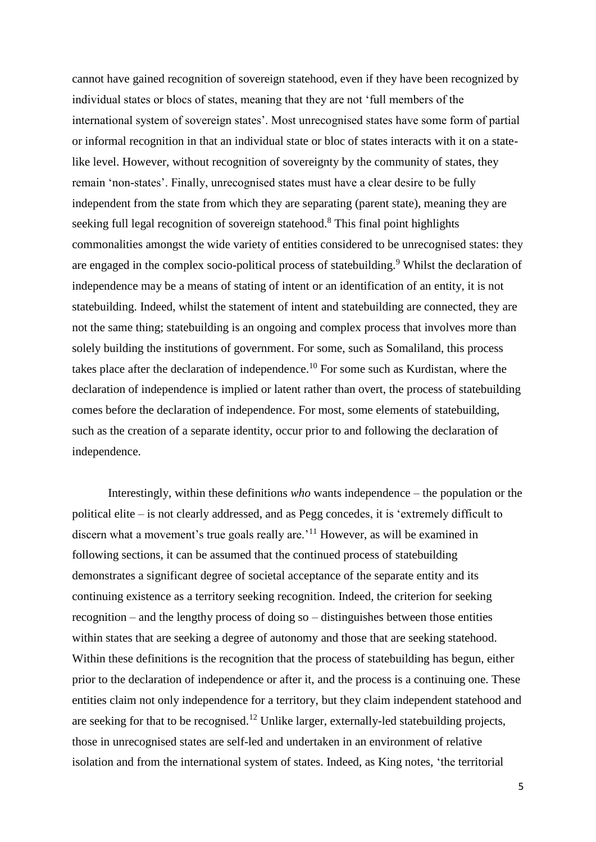cannot have gained recognition of sovereign statehood, even if they have been recognized by individual states or blocs of states, meaning that they are not 'full members of the international system of sovereign states'. Most unrecognised states have some form of partial or informal recognition in that an individual state or bloc of states interacts with it on a statelike level. However, without recognition of sovereignty by the community of states, they remain 'non-states'. Finally, unrecognised states must have a clear desire to be fully independent from the state from which they are separating (parent state), meaning they are seeking full legal recognition of sovereign statehood.<sup>8</sup> This final point highlights commonalities amongst the wide variety of entities considered to be unrecognised states: they are engaged in the complex socio-political process of statebuilding.<sup>9</sup> Whilst the declaration of independence may be a means of stating of intent or an identification of an entity, it is not statebuilding. Indeed, whilst the statement of intent and statebuilding are connected, they are not the same thing; statebuilding is an ongoing and complex process that involves more than solely building the institutions of government. For some, such as Somaliland, this process takes place after the declaration of independence.<sup>10</sup> For some such as Kurdistan, where the declaration of independence is implied or latent rather than overt, the process of statebuilding comes before the declaration of independence. For most, some elements of statebuilding, such as the creation of a separate identity, occur prior to and following the declaration of independence.

Interestingly, within these definitions *who* wants independence – the population or the political elite – is not clearly addressed, and as Pegg concedes, it is 'extremely difficult to discern what a movement's true goals really are.'<sup>11</sup> However, as will be examined in following sections, it can be assumed that the continued process of statebuilding demonstrates a significant degree of societal acceptance of the separate entity and its continuing existence as a territory seeking recognition. Indeed, the criterion for seeking recognition – and the lengthy process of doing so – distinguishes between those entities within states that are seeking a degree of autonomy and those that are seeking statehood. Within these definitions is the recognition that the process of statebuilding has begun, either prior to the declaration of independence or after it, and the process is a continuing one. These entities claim not only independence for a territory, but they claim independent statehood and are seeking for that to be recognised.<sup>12</sup> Unlike larger, externally-led statebuilding projects, those in unrecognised states are self-led and undertaken in an environment of relative isolation and from the international system of states. Indeed, as King notes, 'the territorial

5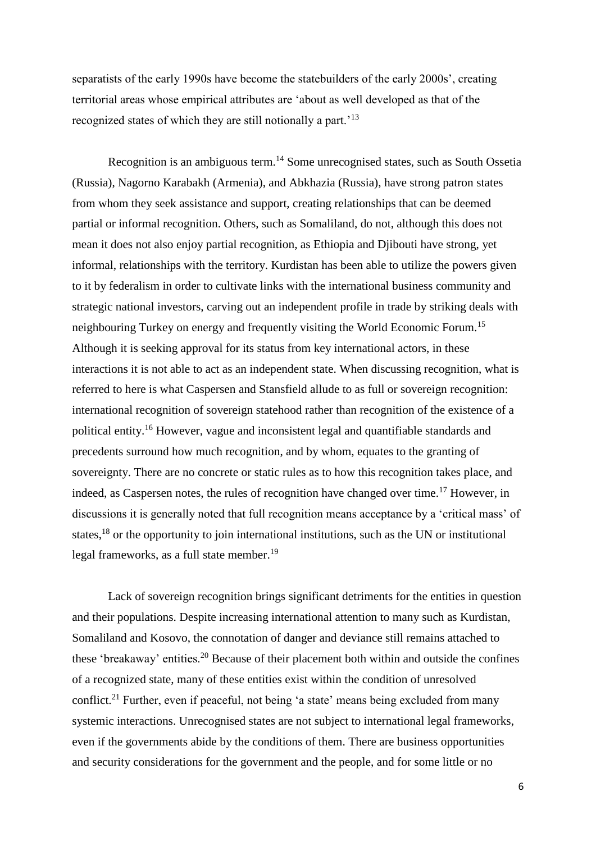separatists of the early 1990s have become the statebuilders of the early 2000s', creating territorial areas whose empirical attributes are 'about as well developed as that of the recognized states of which they are still notionally a part.'<sup>13</sup>

Recognition is an ambiguous term.<sup>14</sup> Some unrecognised states, such as South Ossetia (Russia), Nagorno Karabakh (Armenia), and Abkhazia (Russia), have strong patron states from whom they seek assistance and support, creating relationships that can be deemed partial or informal recognition. Others, such as Somaliland, do not, although this does not mean it does not also enjoy partial recognition, as Ethiopia and Djibouti have strong, yet informal, relationships with the territory. Kurdistan has been able to utilize the powers given to it by federalism in order to cultivate links with the international business community and strategic national investors, carving out an independent profile in trade by striking deals with neighbouring Turkey on energy and frequently visiting the World Economic Forum.<sup>15</sup> Although it is seeking approval for its status from key international actors, in these interactions it is not able to act as an independent state. When discussing recognition, what is referred to here is what Caspersen and Stansfield allude to as full or sovereign recognition: international recognition of sovereign statehood rather than recognition of the existence of a political entity.<sup>16</sup> However, vague and inconsistent legal and quantifiable standards and precedents surround how much recognition, and by whom, equates to the granting of sovereignty. There are no concrete or static rules as to how this recognition takes place, and indeed, as Caspersen notes, the rules of recognition have changed over time.<sup>17</sup> However, in discussions it is generally noted that full recognition means acceptance by a 'critical mass' of states,<sup>18</sup> or the opportunity to join international institutions, such as the UN or institutional legal frameworks, as a full state member.<sup>19</sup>

Lack of sovereign recognition brings significant detriments for the entities in question and their populations. Despite increasing international attention to many such as Kurdistan, Somaliland and Kosovo, the connotation of danger and deviance still remains attached to these 'breakaway' entities.<sup>20</sup> Because of their placement both within and outside the confines of a recognized state, many of these entities exist within the condition of unresolved conflict.<sup>21</sup> Further, even if peaceful, not being 'a state' means being excluded from many systemic interactions. Unrecognised states are not subject to international legal frameworks, even if the governments abide by the conditions of them. There are business opportunities and security considerations for the government and the people, and for some little or no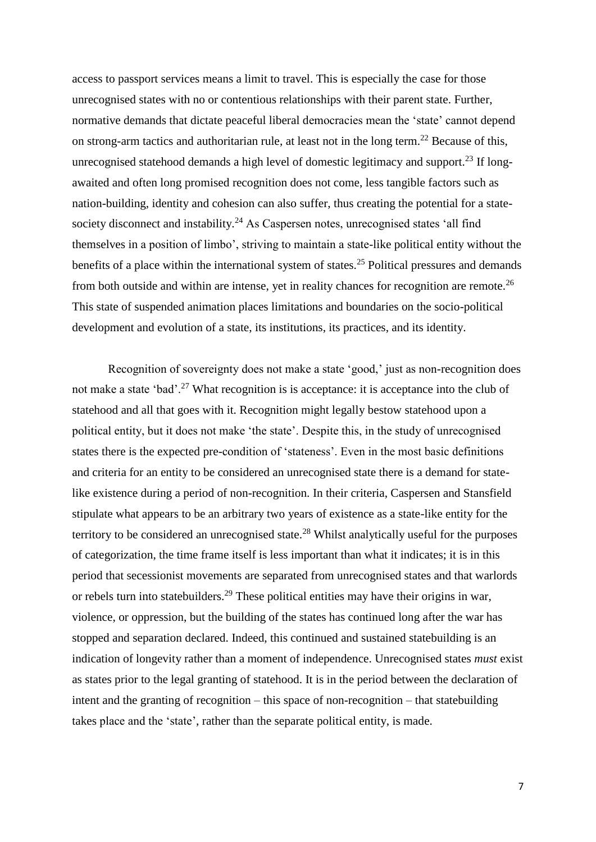access to passport services means a limit to travel. This is especially the case for those unrecognised states with no or contentious relationships with their parent state. Further, normative demands that dictate peaceful liberal democracies mean the 'state' cannot depend on strong-arm tactics and authoritarian rule, at least not in the long term. <sup>22</sup> Because of this, unrecognised statehood demands a high level of domestic legitimacy and support.<sup>23</sup> If longawaited and often long promised recognition does not come, less tangible factors such as nation-building, identity and cohesion can also suffer, thus creating the potential for a statesociety disconnect and instability.<sup>24</sup> As Caspersen notes, unrecognised states 'all find themselves in a position of limbo', striving to maintain a state-like political entity without the benefits of a place within the international system of states.<sup>25</sup> Political pressures and demands from both outside and within are intense, yet in reality chances for recognition are remote.<sup>26</sup> This state of suspended animation places limitations and boundaries on the socio-political development and evolution of a state, its institutions, its practices, and its identity.

Recognition of sovereignty does not make a state 'good,' just as non-recognition does not make a state 'bad'.<sup>27</sup> What recognition is is acceptance: it is acceptance into the club of statehood and all that goes with it. Recognition might legally bestow statehood upon a political entity, but it does not make 'the state'. Despite this, in the study of unrecognised states there is the expected pre-condition of 'stateness'. Even in the most basic definitions and criteria for an entity to be considered an unrecognised state there is a demand for statelike existence during a period of non-recognition. In their criteria, Caspersen and Stansfield stipulate what appears to be an arbitrary two years of existence as a state-like entity for the territory to be considered an unrecognised state.<sup>28</sup> Whilst analytically useful for the purposes of categorization, the time frame itself is less important than what it indicates; it is in this period that secessionist movements are separated from unrecognised states and that warlords or rebels turn into statebuilders.<sup>29</sup> These political entities may have their origins in war, violence, or oppression, but the building of the states has continued long after the war has stopped and separation declared. Indeed, this continued and sustained statebuilding is an indication of longevity rather than a moment of independence. Unrecognised states *must* exist as states prior to the legal granting of statehood. It is in the period between the declaration of intent and the granting of recognition – this space of non-recognition – that statebuilding takes place and the 'state', rather than the separate political entity, is made.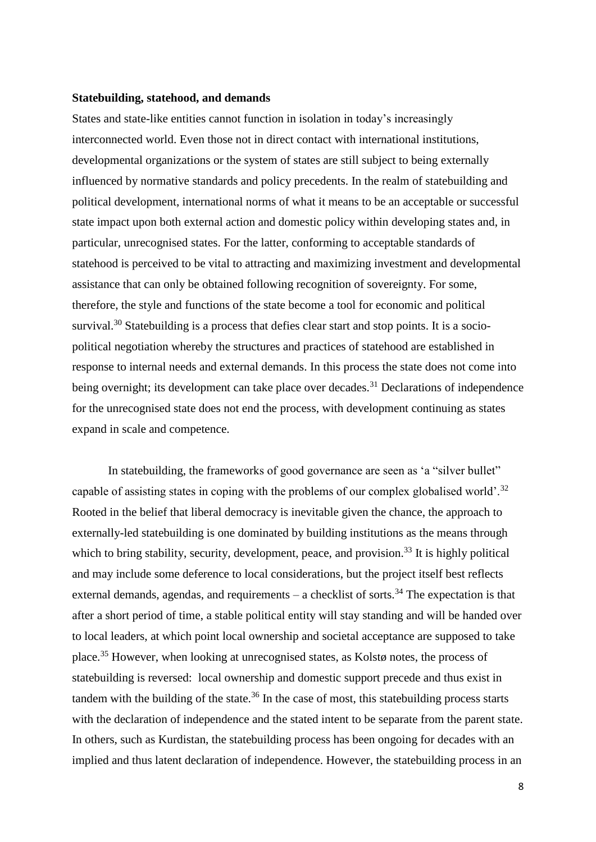#### **Statebuilding, statehood, and demands**

States and state-like entities cannot function in isolation in today's increasingly interconnected world. Even those not in direct contact with international institutions, developmental organizations or the system of states are still subject to being externally influenced by normative standards and policy precedents. In the realm of statebuilding and political development, international norms of what it means to be an acceptable or successful state impact upon both external action and domestic policy within developing states and, in particular, unrecognised states. For the latter, conforming to acceptable standards of statehood is perceived to be vital to attracting and maximizing investment and developmental assistance that can only be obtained following recognition of sovereignty. For some, therefore, the style and functions of the state become a tool for economic and political survival.<sup>30</sup> Statebuilding is a process that defies clear start and stop points. It is a sociopolitical negotiation whereby the structures and practices of statehood are established in response to internal needs and external demands. In this process the state does not come into being overnight; its development can take place over decades.<sup>31</sup> Declarations of independence for the unrecognised state does not end the process, with development continuing as states expand in scale and competence.

In statebuilding, the frameworks of good governance are seen as 'a "silver bullet" capable of assisting states in coping with the problems of our complex globalised world'.<sup>32</sup> Rooted in the belief that liberal democracy is inevitable given the chance, the approach to externally-led statebuilding is one dominated by building institutions as the means through which to bring stability, security, development, peace, and provision.<sup>33</sup> It is highly political and may include some deference to local considerations, but the project itself best reflects external demands, agendas, and requirements – a checklist of sorts.<sup>34</sup> The expectation is that after a short period of time, a stable political entity will stay standing and will be handed over to local leaders, at which point local ownership and societal acceptance are supposed to take place.<sup>35</sup> However, when looking at unrecognised states, as Kolstø notes, the process of statebuilding is reversed: local ownership and domestic support precede and thus exist in tandem with the building of the state.<sup>36</sup> In the case of most, this statebuilding process starts with the declaration of independence and the stated intent to be separate from the parent state. In others, such as Kurdistan, the statebuilding process has been ongoing for decades with an implied and thus latent declaration of independence. However, the statebuilding process in an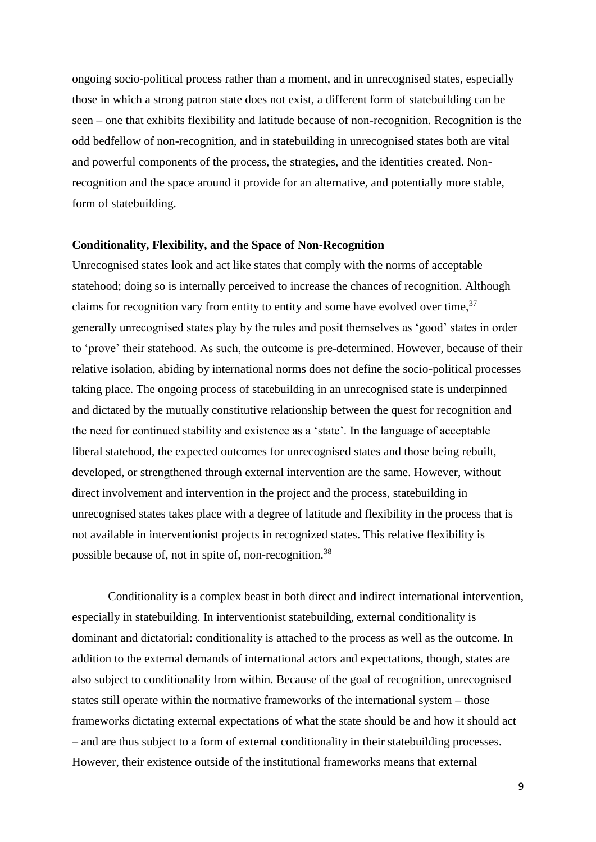ongoing socio-political process rather than a moment, and in unrecognised states, especially those in which a strong patron state does not exist, a different form of statebuilding can be seen – one that exhibits flexibility and latitude because of non-recognition. Recognition is the odd bedfellow of non-recognition, and in statebuilding in unrecognised states both are vital and powerful components of the process, the strategies, and the identities created. Nonrecognition and the space around it provide for an alternative, and potentially more stable, form of statebuilding.

### **Conditionality, Flexibility, and the Space of Non-Recognition**

Unrecognised states look and act like states that comply with the norms of acceptable statehood; doing so is internally perceived to increase the chances of recognition. Although claims for recognition vary from entity to entity and some have evolved over time,  $37$ generally unrecognised states play by the rules and posit themselves as 'good' states in order to 'prove' their statehood. As such, the outcome is pre-determined. However, because of their relative isolation, abiding by international norms does not define the socio-political processes taking place. The ongoing process of statebuilding in an unrecognised state is underpinned and dictated by the mutually constitutive relationship between the quest for recognition and the need for continued stability and existence as a 'state'. In the language of acceptable liberal statehood, the expected outcomes for unrecognised states and those being rebuilt, developed, or strengthened through external intervention are the same. However, without direct involvement and intervention in the project and the process, statebuilding in unrecognised states takes place with a degree of latitude and flexibility in the process that is not available in interventionist projects in recognized states. This relative flexibility is possible because of, not in spite of, non-recognition.<sup>38</sup>

Conditionality is a complex beast in both direct and indirect international intervention, especially in statebuilding. In interventionist statebuilding, external conditionality is dominant and dictatorial: conditionality is attached to the process as well as the outcome. In addition to the external demands of international actors and expectations, though, states are also subject to conditionality from within. Because of the goal of recognition, unrecognised states still operate within the normative frameworks of the international system – those frameworks dictating external expectations of what the state should be and how it should act – and are thus subject to a form of external conditionality in their statebuilding processes. However, their existence outside of the institutional frameworks means that external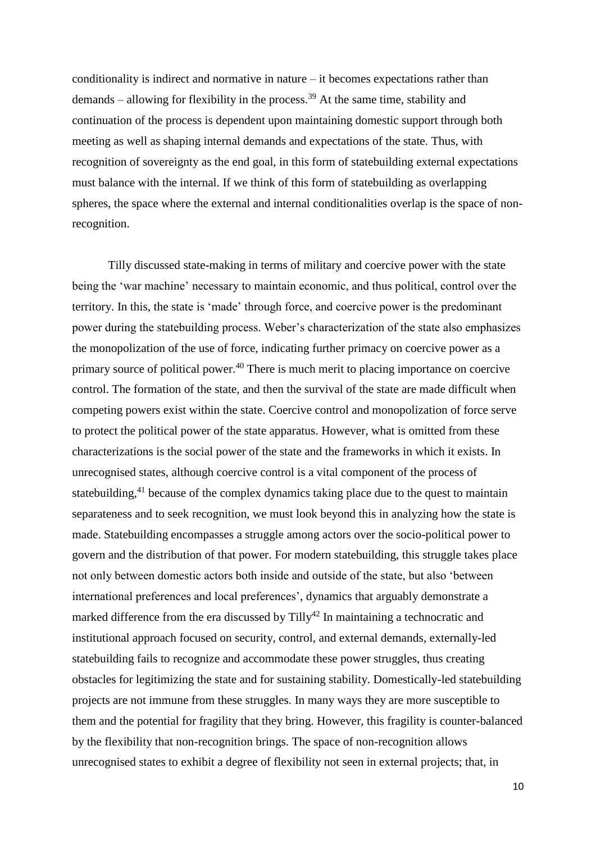conditionality is indirect and normative in nature  $-$  it becomes expectations rather than demands – allowing for flexibility in the process.<sup>39</sup> At the same time, stability and continuation of the process is dependent upon maintaining domestic support through both meeting as well as shaping internal demands and expectations of the state. Thus, with recognition of sovereignty as the end goal, in this form of statebuilding external expectations must balance with the internal. If we think of this form of statebuilding as overlapping spheres, the space where the external and internal conditionalities overlap is the space of nonrecognition.

Tilly discussed state-making in terms of military and coercive power with the state being the 'war machine' necessary to maintain economic, and thus political, control over the territory. In this, the state is 'made' through force, and coercive power is the predominant power during the statebuilding process. Weber's characterization of the state also emphasizes the monopolization of the use of force, indicating further primacy on coercive power as a primary source of political power.<sup>40</sup> There is much merit to placing importance on coercive control. The formation of the state, and then the survival of the state are made difficult when competing powers exist within the state. Coercive control and monopolization of force serve to protect the political power of the state apparatus. However, what is omitted from these characterizations is the social power of the state and the frameworks in which it exists. In unrecognised states, although coercive control is a vital component of the process of statebuilding,<sup>41</sup> because of the complex dynamics taking place due to the quest to maintain separateness and to seek recognition, we must look beyond this in analyzing how the state is made. Statebuilding encompasses a struggle among actors over the socio-political power to govern and the distribution of that power. For modern statebuilding, this struggle takes place not only between domestic actors both inside and outside of the state, but also 'between international preferences and local preferences', dynamics that arguably demonstrate a marked difference from the era discussed by  $Tilly^{42}$  In maintaining a technocratic and institutional approach focused on security, control, and external demands, externally-led statebuilding fails to recognize and accommodate these power struggles, thus creating obstacles for legitimizing the state and for sustaining stability. Domestically-led statebuilding projects are not immune from these struggles. In many ways they are more susceptible to them and the potential for fragility that they bring. However, this fragility is counter-balanced by the flexibility that non-recognition brings. The space of non-recognition allows unrecognised states to exhibit a degree of flexibility not seen in external projects; that, in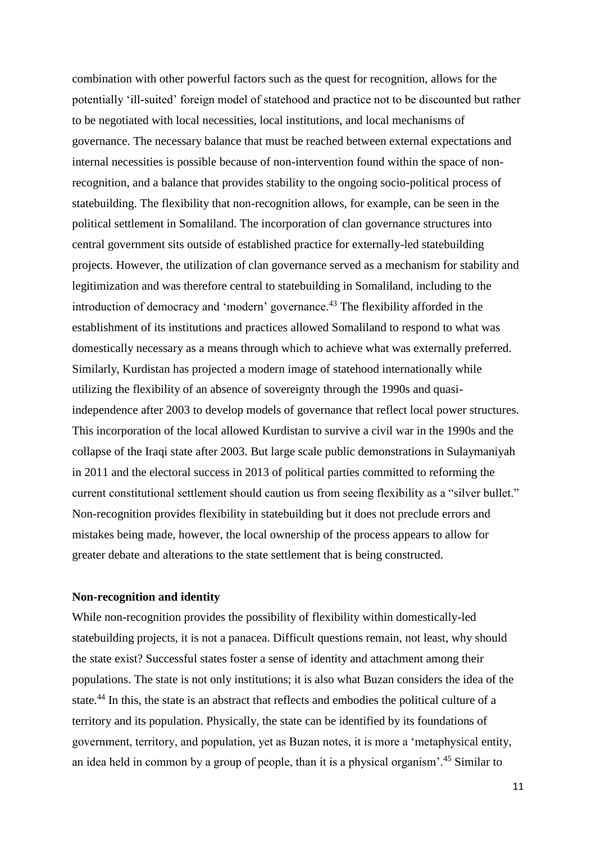combination with other powerful factors such as the quest for recognition, allows for the potentially 'ill-suited' foreign model of statehood and practice not to be discounted but rather to be negotiated with local necessities, local institutions, and local mechanisms of governance. The necessary balance that must be reached between external expectations and internal necessities is possible because of non-intervention found within the space of nonrecognition, and a balance that provides stability to the ongoing socio-political process of statebuilding. The flexibility that non-recognition allows, for example, can be seen in the political settlement in Somaliland. The incorporation of clan governance structures into central government sits outside of established practice for externally-led statebuilding projects. However, the utilization of clan governance served as a mechanism for stability and legitimization and was therefore central to statebuilding in Somaliland, including to the introduction of democracy and 'modern' governance.<sup>43</sup> The flexibility afforded in the establishment of its institutions and practices allowed Somaliland to respond to what was domestically necessary as a means through which to achieve what was externally preferred. Similarly, Kurdistan has projected a modern image of statehood internationally while utilizing the flexibility of an absence of sovereignty through the 1990s and quasiindependence after 2003 to develop models of governance that reflect local power structures. This incorporation of the local allowed Kurdistan to survive a civil war in the 1990s and the collapse of the Iraqi state after 2003. But large scale public demonstrations in Sulaymaniyah in 2011 and the electoral success in 2013 of political parties committed to reforming the current constitutional settlement should caution us from seeing flexibility as a "silver bullet." Non-recognition provides flexibility in statebuilding but it does not preclude errors and mistakes being made, however, the local ownership of the process appears to allow for greater debate and alterations to the state settlement that is being constructed.

## **Non-recognition and identity**

While non-recognition provides the possibility of flexibility within domestically-led statebuilding projects, it is not a panacea. Difficult questions remain, not least, why should the state exist? Successful states foster a sense of identity and attachment among their populations. The state is not only institutions; it is also what Buzan considers the idea of the state.<sup>44</sup> In this, the state is an abstract that reflects and embodies the political culture of a territory and its population. Physically, the state can be identified by its foundations of government, territory, and population, yet as Buzan notes, it is more a 'metaphysical entity, an idea held in common by a group of people, than it is a physical organism'.<sup>45</sup> Similar to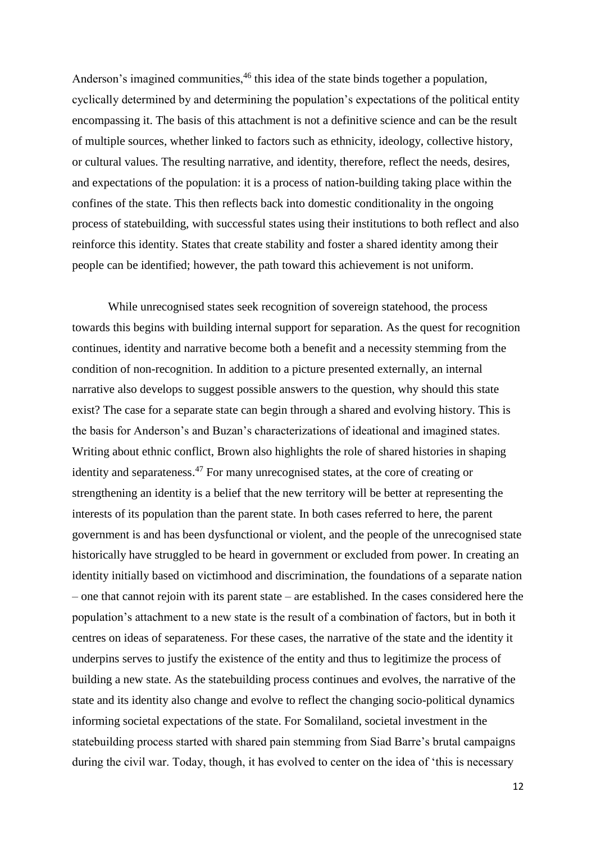Anderson's imagined communities,<sup>46</sup> this idea of the state binds together a population, cyclically determined by and determining the population's expectations of the political entity encompassing it. The basis of this attachment is not a definitive science and can be the result of multiple sources, whether linked to factors such as ethnicity, ideology, collective history, or cultural values. The resulting narrative, and identity, therefore, reflect the needs, desires, and expectations of the population: it is a process of nation-building taking place within the confines of the state. This then reflects back into domestic conditionality in the ongoing process of statebuilding, with successful states using their institutions to both reflect and also reinforce this identity. States that create stability and foster a shared identity among their people can be identified; however, the path toward this achievement is not uniform.

While unrecognised states seek recognition of sovereign statehood, the process towards this begins with building internal support for separation. As the quest for recognition continues, identity and narrative become both a benefit and a necessity stemming from the condition of non-recognition. In addition to a picture presented externally, an internal narrative also develops to suggest possible answers to the question, why should this state exist? The case for a separate state can begin through a shared and evolving history. This is the basis for Anderson's and Buzan's characterizations of ideational and imagined states. Writing about ethnic conflict, Brown also highlights the role of shared histories in shaping identity and separateness.<sup>47</sup> For many unrecognised states, at the core of creating or strengthening an identity is a belief that the new territory will be better at representing the interests of its population than the parent state. In both cases referred to here, the parent government is and has been dysfunctional or violent, and the people of the unrecognised state historically have struggled to be heard in government or excluded from power. In creating an identity initially based on victimhood and discrimination, the foundations of a separate nation  $-$  one that cannot rejoin with its parent state  $-$  are established. In the cases considered here the population's attachment to a new state is the result of a combination of factors, but in both it centres on ideas of separateness. For these cases, the narrative of the state and the identity it underpins serves to justify the existence of the entity and thus to legitimize the process of building a new state. As the statebuilding process continues and evolves, the narrative of the state and its identity also change and evolve to reflect the changing socio-political dynamics informing societal expectations of the state. For Somaliland, societal investment in the statebuilding process started with shared pain stemming from Siad Barre's brutal campaigns during the civil war. Today, though, it has evolved to center on the idea of 'this is necessary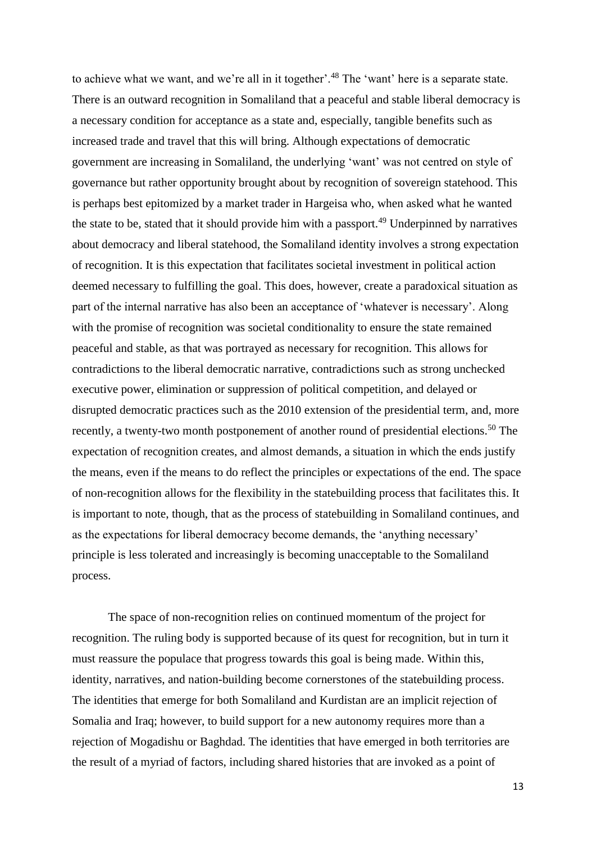to achieve what we want, and we're all in it together'.<sup>48</sup> The 'want' here is a separate state. There is an outward recognition in Somaliland that a peaceful and stable liberal democracy is a necessary condition for acceptance as a state and, especially, tangible benefits such as increased trade and travel that this will bring. Although expectations of democratic government are increasing in Somaliland, the underlying 'want' was not centred on style of governance but rather opportunity brought about by recognition of sovereign statehood. This is perhaps best epitomized by a market trader in Hargeisa who, when asked what he wanted the state to be, stated that it should provide him with a passport.<sup>49</sup> Underpinned by narratives about democracy and liberal statehood, the Somaliland identity involves a strong expectation of recognition. It is this expectation that facilitates societal investment in political action deemed necessary to fulfilling the goal. This does, however, create a paradoxical situation as part of the internal narrative has also been an acceptance of 'whatever is necessary'. Along with the promise of recognition was societal conditionality to ensure the state remained peaceful and stable, as that was portrayed as necessary for recognition. This allows for contradictions to the liberal democratic narrative, contradictions such as strong unchecked executive power, elimination or suppression of political competition, and delayed or disrupted democratic practices such as the 2010 extension of the presidential term, and, more recently, a twenty-two month postponement of another round of presidential elections.<sup>50</sup> The expectation of recognition creates, and almost demands, a situation in which the ends justify the means, even if the means to do reflect the principles or expectations of the end. The space of non-recognition allows for the flexibility in the statebuilding process that facilitates this. It is important to note, though, that as the process of statebuilding in Somaliland continues, and as the expectations for liberal democracy become demands, the 'anything necessary' principle is less tolerated and increasingly is becoming unacceptable to the Somaliland process.

The space of non-recognition relies on continued momentum of the project for recognition. The ruling body is supported because of its quest for recognition, but in turn it must reassure the populace that progress towards this goal is being made. Within this, identity, narratives, and nation-building become cornerstones of the statebuilding process. The identities that emerge for both Somaliland and Kurdistan are an implicit rejection of Somalia and Iraq; however, to build support for a new autonomy requires more than a rejection of Mogadishu or Baghdad. The identities that have emerged in both territories are the result of a myriad of factors, including shared histories that are invoked as a point of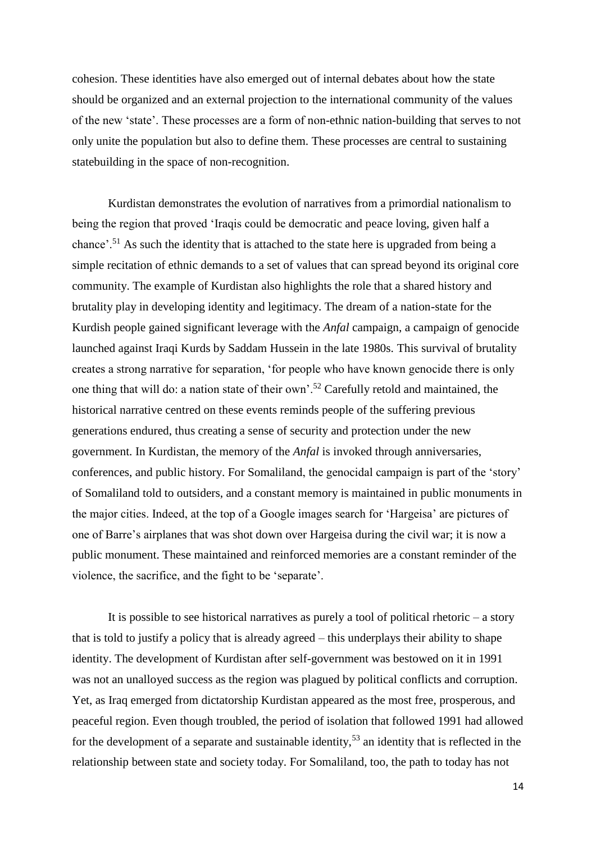cohesion. These identities have also emerged out of internal debates about how the state should be organized and an external projection to the international community of the values of the new 'state'. These processes are a form of non-ethnic nation-building that serves to not only unite the population but also to define them. These processes are central to sustaining statebuilding in the space of non-recognition.

Kurdistan demonstrates the evolution of narratives from a primordial nationalism to being the region that proved 'Iraqis could be democratic and peace loving, given half a chance'.<sup>51</sup> As such the identity that is attached to the state here is upgraded from being a simple recitation of ethnic demands to a set of values that can spread beyond its original core community. The example of Kurdistan also highlights the role that a shared history and brutality play in developing identity and legitimacy. The dream of a nation-state for the Kurdish people gained significant leverage with the *Anfal* campaign, a campaign of genocide launched against Iraqi Kurds by Saddam Hussein in the late 1980s. This survival of brutality creates a strong narrative for separation, 'for people who have known genocide there is only one thing that will do: a nation state of their own'.<sup>52</sup> Carefully retold and maintained, the historical narrative centred on these events reminds people of the suffering previous generations endured, thus creating a sense of security and protection under the new government. In Kurdistan, the memory of the *Anfal* is invoked through anniversaries, conferences, and public history. For Somaliland, the genocidal campaign is part of the 'story' of Somaliland told to outsiders, and a constant memory is maintained in public monuments in the major cities. Indeed, at the top of a Google images search for 'Hargeisa' are pictures of one of Barre's airplanes that was shot down over Hargeisa during the civil war; it is now a public monument. These maintained and reinforced memories are a constant reminder of the violence, the sacrifice, and the fight to be 'separate'.

It is possible to see historical narratives as purely a tool of political rhetoric  $-$  a story that is told to justify a policy that is already agreed – this underplays their ability to shape identity. The development of Kurdistan after self-government was bestowed on it in 1991 was not an unalloyed success as the region was plagued by political conflicts and corruption. Yet, as Iraq emerged from dictatorship Kurdistan appeared as the most free, prosperous, and peaceful region. Even though troubled, the period of isolation that followed 1991 had allowed for the development of a separate and sustainable identity,<sup>53</sup> an identity that is reflected in the relationship between state and society today. For Somaliland, too, the path to today has not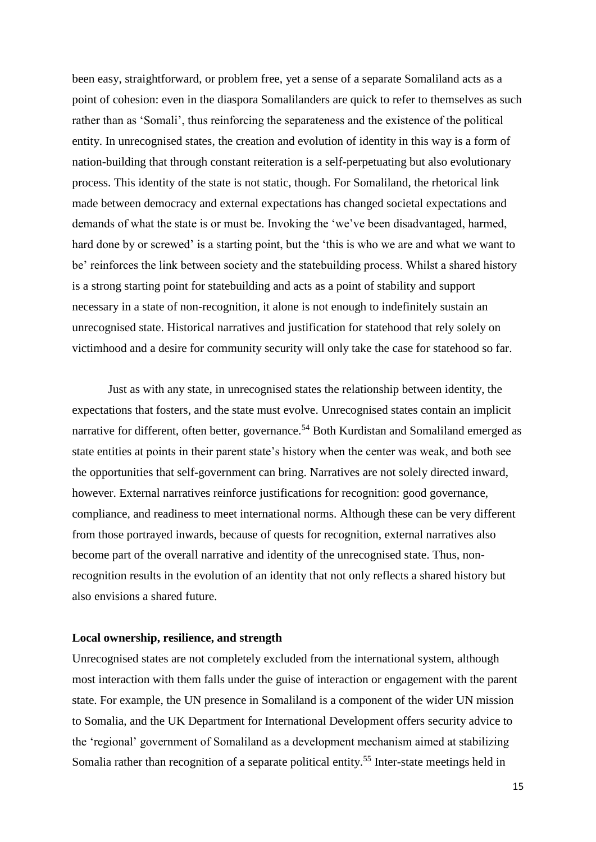been easy, straightforward, or problem free, yet a sense of a separate Somaliland acts as a point of cohesion: even in the diaspora Somalilanders are quick to refer to themselves as such rather than as 'Somali', thus reinforcing the separateness and the existence of the political entity. In unrecognised states, the creation and evolution of identity in this way is a form of nation-building that through constant reiteration is a self-perpetuating but also evolutionary process. This identity of the state is not static, though. For Somaliland, the rhetorical link made between democracy and external expectations has changed societal expectations and demands of what the state is or must be. Invoking the 'we've been disadvantaged, harmed, hard done by or screwed' is a starting point, but the 'this is who we are and what we want to be' reinforces the link between society and the statebuilding process. Whilst a shared history is a strong starting point for statebuilding and acts as a point of stability and support necessary in a state of non-recognition, it alone is not enough to indefinitely sustain an unrecognised state. Historical narratives and justification for statehood that rely solely on victimhood and a desire for community security will only take the case for statehood so far.

Just as with any state, in unrecognised states the relationship between identity, the expectations that fosters, and the state must evolve. Unrecognised states contain an implicit narrative for different, often better, governance.<sup>54</sup> Both Kurdistan and Somaliland emerged as state entities at points in their parent state's history when the center was weak, and both see the opportunities that self-government can bring. Narratives are not solely directed inward, however. External narratives reinforce justifications for recognition: good governance, compliance, and readiness to meet international norms. Although these can be very different from those portrayed inwards, because of quests for recognition, external narratives also become part of the overall narrative and identity of the unrecognised state. Thus, nonrecognition results in the evolution of an identity that not only reflects a shared history but also envisions a shared future.

## **Local ownership, resilience, and strength**

Unrecognised states are not completely excluded from the international system, although most interaction with them falls under the guise of interaction or engagement with the parent state. For example, the UN presence in Somaliland is a component of the wider UN mission to Somalia, and the UK Department for International Development offers security advice to the 'regional' government of Somaliland as a development mechanism aimed at stabilizing Somalia rather than recognition of a separate political entity.<sup>55</sup> Inter-state meetings held in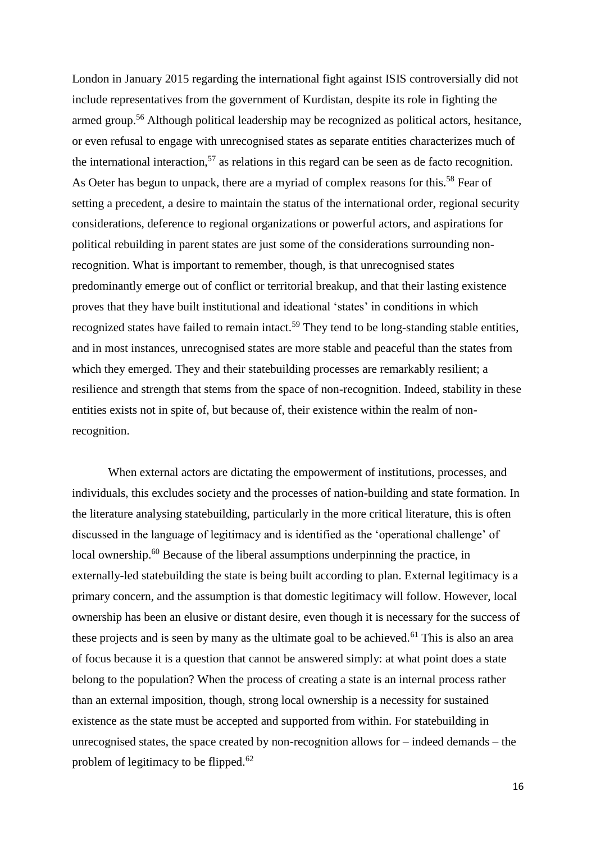London in January 2015 regarding the international fight against ISIS controversially did not include representatives from the government of Kurdistan, despite its role in fighting the armed group.<sup>56</sup> Although political leadership may be recognized as political actors, hesitance, or even refusal to engage with unrecognised states as separate entities characterizes much of the international interaction,  $57$  as relations in this regard can be seen as de facto recognition. As Oeter has begun to unpack, there are a myriad of complex reasons for this.<sup>58</sup> Fear of setting a precedent, a desire to maintain the status of the international order, regional security considerations, deference to regional organizations or powerful actors, and aspirations for political rebuilding in parent states are just some of the considerations surrounding nonrecognition. What is important to remember, though, is that unrecognised states predominantly emerge out of conflict or territorial breakup, and that their lasting existence proves that they have built institutional and ideational 'states' in conditions in which recognized states have failed to remain intact.<sup>59</sup> They tend to be long-standing stable entities, and in most instances, unrecognised states are more stable and peaceful than the states from which they emerged. They and their statebuilding processes are remarkably resilient; a resilience and strength that stems from the space of non-recognition. Indeed, stability in these entities exists not in spite of, but because of, their existence within the realm of nonrecognition.

When external actors are dictating the empowerment of institutions, processes, and individuals, this excludes society and the processes of nation-building and state formation. In the literature analysing statebuilding, particularly in the more critical literature, this is often discussed in the language of legitimacy and is identified as the 'operational challenge' of local ownership.<sup>60</sup> Because of the liberal assumptions underpinning the practice, in externally-led statebuilding the state is being built according to plan. External legitimacy is a primary concern, and the assumption is that domestic legitimacy will follow. However, local ownership has been an elusive or distant desire, even though it is necessary for the success of these projects and is seen by many as the ultimate goal to be achieved.<sup>61</sup> This is also an area of focus because it is a question that cannot be answered simply: at what point does a state belong to the population? When the process of creating a state is an internal process rather than an external imposition, though, strong local ownership is a necessity for sustained existence as the state must be accepted and supported from within. For statebuilding in unrecognised states, the space created by non-recognition allows for – indeed demands – the problem of legitimacy to be flipped. $62$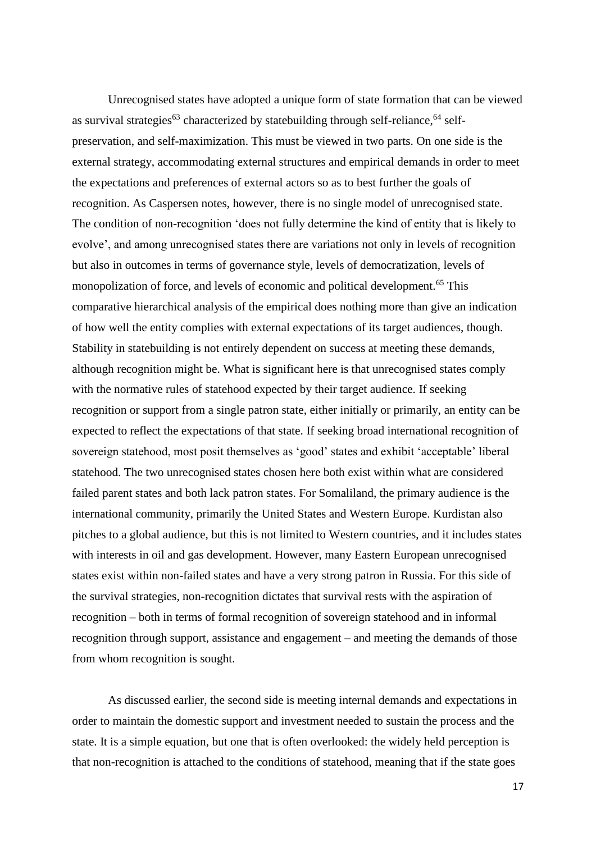Unrecognised states have adopted a unique form of state formation that can be viewed as survival strategies<sup>63</sup> characterized by statebuilding through self-reliance,  $64$  selfpreservation, and self-maximization. This must be viewed in two parts. On one side is the external strategy, accommodating external structures and empirical demands in order to meet the expectations and preferences of external actors so as to best further the goals of recognition. As Caspersen notes, however, there is no single model of unrecognised state. The condition of non-recognition 'does not fully determine the kind of entity that is likely to evolve', and among unrecognised states there are variations not only in levels of recognition but also in outcomes in terms of governance style, levels of democratization, levels of monopolization of force, and levels of economic and political development.<sup>65</sup> This comparative hierarchical analysis of the empirical does nothing more than give an indication of how well the entity complies with external expectations of its target audiences, though. Stability in statebuilding is not entirely dependent on success at meeting these demands, although recognition might be. What is significant here is that unrecognised states comply with the normative rules of statehood expected by their target audience. If seeking recognition or support from a single patron state, either initially or primarily, an entity can be expected to reflect the expectations of that state. If seeking broad international recognition of sovereign statehood, most posit themselves as 'good' states and exhibit 'acceptable' liberal statehood. The two unrecognised states chosen here both exist within what are considered failed parent states and both lack patron states. For Somaliland, the primary audience is the international community, primarily the United States and Western Europe. Kurdistan also pitches to a global audience, but this is not limited to Western countries, and it includes states with interests in oil and gas development. However, many Eastern European unrecognised states exist within non-failed states and have a very strong patron in Russia. For this side of the survival strategies, non-recognition dictates that survival rests with the aspiration of recognition – both in terms of formal recognition of sovereign statehood and in informal recognition through support, assistance and engagement – and meeting the demands of those from whom recognition is sought.

As discussed earlier, the second side is meeting internal demands and expectations in order to maintain the domestic support and investment needed to sustain the process and the state. It is a simple equation, but one that is often overlooked: the widely held perception is that non-recognition is attached to the conditions of statehood, meaning that if the state goes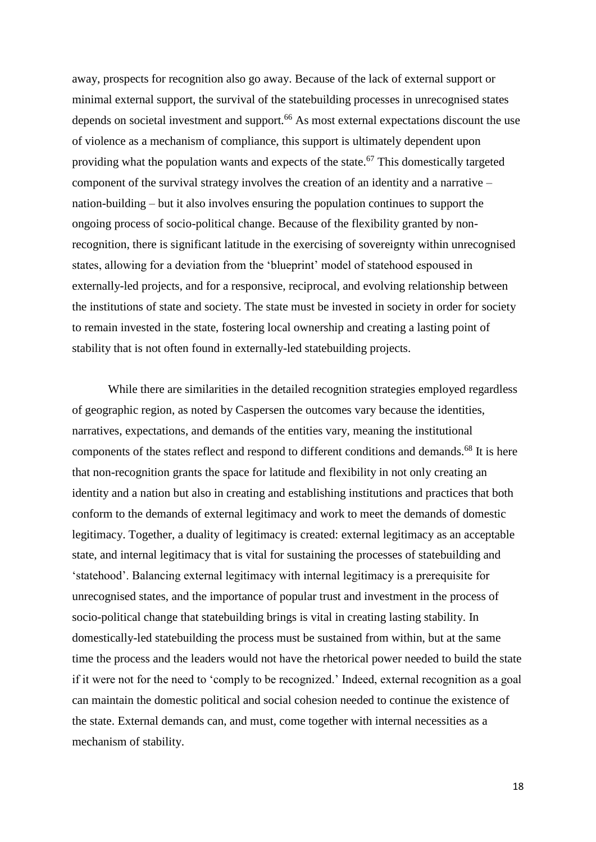away, prospects for recognition also go away. Because of the lack of external support or minimal external support, the survival of the statebuilding processes in unrecognised states depends on societal investment and support.<sup>66</sup> As most external expectations discount the use of violence as a mechanism of compliance, this support is ultimately dependent upon providing what the population wants and expects of the state.<sup>67</sup> This domestically targeted component of the survival strategy involves the creation of an identity and a narrative – nation-building – but it also involves ensuring the population continues to support the ongoing process of socio-political change. Because of the flexibility granted by nonrecognition, there is significant latitude in the exercising of sovereignty within unrecognised states, allowing for a deviation from the 'blueprint' model of statehood espoused in externally-led projects, and for a responsive, reciprocal, and evolving relationship between the institutions of state and society. The state must be invested in society in order for society to remain invested in the state, fostering local ownership and creating a lasting point of stability that is not often found in externally-led statebuilding projects.

While there are similarities in the detailed recognition strategies employed regardless of geographic region, as noted by Caspersen the outcomes vary because the identities, narratives, expectations, and demands of the entities vary, meaning the institutional components of the states reflect and respond to different conditions and demands.<sup>68</sup> It is here that non-recognition grants the space for latitude and flexibility in not only creating an identity and a nation but also in creating and establishing institutions and practices that both conform to the demands of external legitimacy and work to meet the demands of domestic legitimacy. Together, a duality of legitimacy is created: external legitimacy as an acceptable state, and internal legitimacy that is vital for sustaining the processes of statebuilding and 'statehood'. Balancing external legitimacy with internal legitimacy is a prerequisite for unrecognised states, and the importance of popular trust and investment in the process of socio-political change that statebuilding brings is vital in creating lasting stability. In domestically-led statebuilding the process must be sustained from within, but at the same time the process and the leaders would not have the rhetorical power needed to build the state if it were not for the need to 'comply to be recognized.' Indeed, external recognition as a goal can maintain the domestic political and social cohesion needed to continue the existence of the state. External demands can, and must, come together with internal necessities as a mechanism of stability.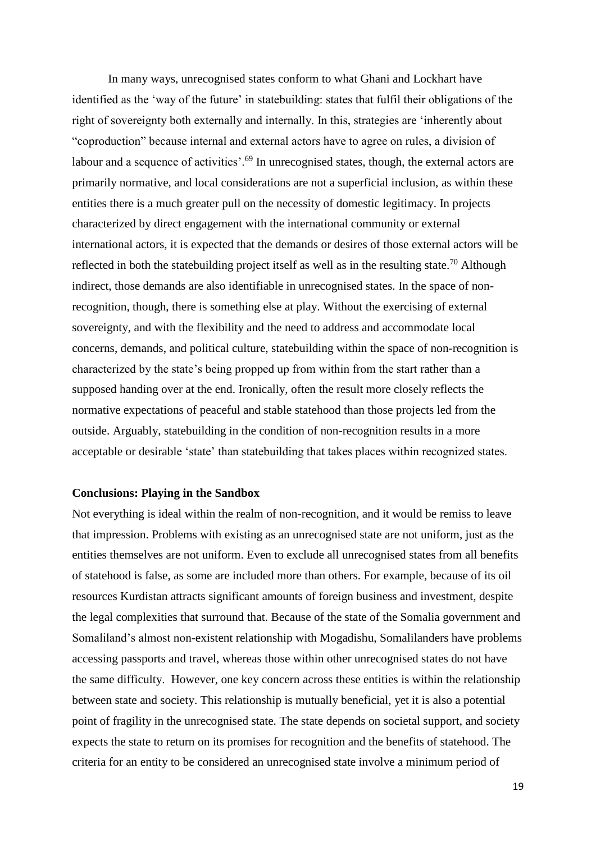In many ways, unrecognised states conform to what Ghani and Lockhart have identified as the 'way of the future' in statebuilding: states that fulfil their obligations of the right of sovereignty both externally and internally. In this, strategies are 'inherently about "coproduction" because internal and external actors have to agree on rules, a division of labour and a sequence of activities'.<sup>69</sup> In unrecognised states, though, the external actors are primarily normative, and local considerations are not a superficial inclusion, as within these entities there is a much greater pull on the necessity of domestic legitimacy. In projects characterized by direct engagement with the international community or external international actors, it is expected that the demands or desires of those external actors will be reflected in both the statebuilding project itself as well as in the resulting state.<sup>70</sup> Although indirect, those demands are also identifiable in unrecognised states. In the space of nonrecognition, though, there is something else at play. Without the exercising of external sovereignty, and with the flexibility and the need to address and accommodate local concerns, demands, and political culture, statebuilding within the space of non-recognition is characterized by the state's being propped up from within from the start rather than a supposed handing over at the end. Ironically, often the result more closely reflects the normative expectations of peaceful and stable statehood than those projects led from the outside. Arguably, statebuilding in the condition of non-recognition results in a more acceptable or desirable 'state' than statebuilding that takes places within recognized states.

## **Conclusions: Playing in the Sandbox**

Not everything is ideal within the realm of non-recognition, and it would be remiss to leave that impression. Problems with existing as an unrecognised state are not uniform, just as the entities themselves are not uniform. Even to exclude all unrecognised states from all benefits of statehood is false, as some are included more than others. For example, because of its oil resources Kurdistan attracts significant amounts of foreign business and investment, despite the legal complexities that surround that. Because of the state of the Somalia government and Somaliland's almost non-existent relationship with Mogadishu, Somalilanders have problems accessing passports and travel, whereas those within other unrecognised states do not have the same difficulty. However, one key concern across these entities is within the relationship between state and society. This relationship is mutually beneficial, yet it is also a potential point of fragility in the unrecognised state. The state depends on societal support, and society expects the state to return on its promises for recognition and the benefits of statehood. The criteria for an entity to be considered an unrecognised state involve a minimum period of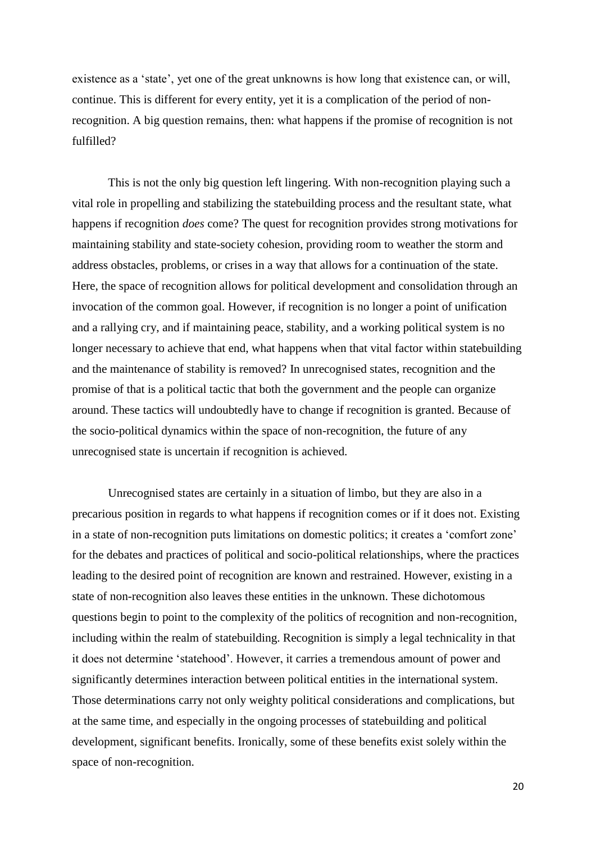existence as a 'state', yet one of the great unknowns is how long that existence can, or will, continue. This is different for every entity, yet it is a complication of the period of nonrecognition. A big question remains, then: what happens if the promise of recognition is not fulfilled?

This is not the only big question left lingering. With non-recognition playing such a vital role in propelling and stabilizing the statebuilding process and the resultant state, what happens if recognition *does* come? The quest for recognition provides strong motivations for maintaining stability and state-society cohesion, providing room to weather the storm and address obstacles, problems, or crises in a way that allows for a continuation of the state. Here, the space of recognition allows for political development and consolidation through an invocation of the common goal. However, if recognition is no longer a point of unification and a rallying cry, and if maintaining peace, stability, and a working political system is no longer necessary to achieve that end, what happens when that vital factor within statebuilding and the maintenance of stability is removed? In unrecognised states, recognition and the promise of that is a political tactic that both the government and the people can organize around. These tactics will undoubtedly have to change if recognition is granted. Because of the socio-political dynamics within the space of non-recognition, the future of any unrecognised state is uncertain if recognition is achieved.

Unrecognised states are certainly in a situation of limbo, but they are also in a precarious position in regards to what happens if recognition comes or if it does not. Existing in a state of non-recognition puts limitations on domestic politics; it creates a 'comfort zone' for the debates and practices of political and socio-political relationships, where the practices leading to the desired point of recognition are known and restrained. However, existing in a state of non-recognition also leaves these entities in the unknown. These dichotomous questions begin to point to the complexity of the politics of recognition and non-recognition, including within the realm of statebuilding. Recognition is simply a legal technicality in that it does not determine 'statehood'. However, it carries a tremendous amount of power and significantly determines interaction between political entities in the international system. Those determinations carry not only weighty political considerations and complications, but at the same time, and especially in the ongoing processes of statebuilding and political development, significant benefits. Ironically, some of these benefits exist solely within the space of non-recognition.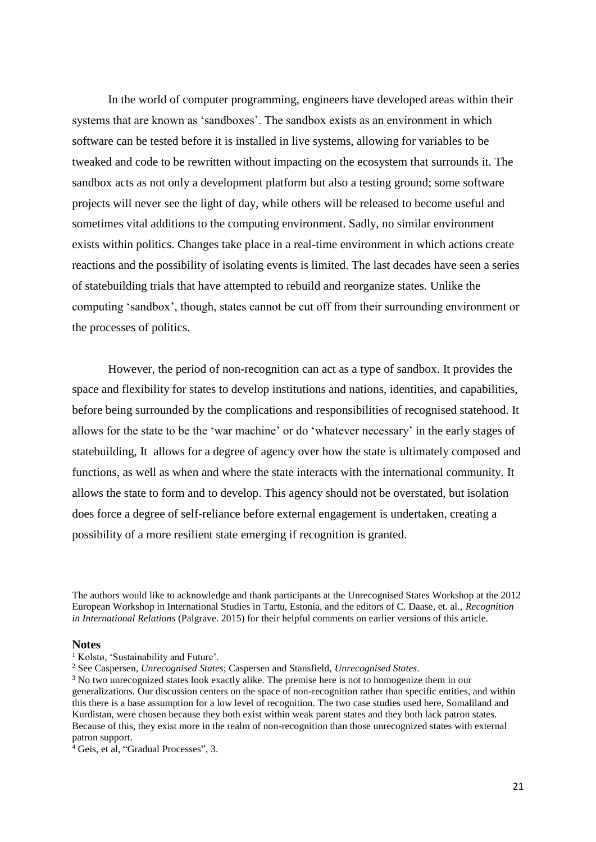In the world of computer programming, engineers have developed areas within their systems that are known as 'sandboxes'. The sandbox exists as an environment in which software can be tested before it is installed in live systems, allowing for variables to be tweaked and code to be rewritten without impacting on the ecosystem that surrounds it. The sandbox acts as not only a development platform but also a testing ground; some software projects will never see the light of day, while others will be released to become useful and sometimes vital additions to the computing environment. Sadly, no similar environment exists within politics. Changes take place in a real-time environment in which actions create reactions and the possibility of isolating events is limited. The last decades have seen a series of statebuilding trials that have attempted to rebuild and reorganize states. Unlike the computing 'sandbox', though, states cannot be cut off from their surrounding environment or the processes of politics.

However, the period of non-recognition can act as a type of sandbox. It provides the space and flexibility for states to develop institutions and nations, identities, and capabilities, before being surrounded by the complications and responsibilities of recognised statehood. It allows for the state to be the 'war machine' or do 'whatever necessary' in the early stages of statebuilding, It allows for a degree of agency over how the state is ultimately composed and functions, as well as when and where the state interacts with the international community. It allows the state to form and to develop. This agency should not be overstated, but isolation does force a degree of self-reliance before external engagement is undertaken, creating a possibility of a more resilient state emerging if recognition is granted.

The authors would like to acknowledge and thank participants at the Unrecognised States Workshop at the 2012 European Workshop in International Studies in Tartu, Estonia, and the editors of C. Daase, et. al., *Recognition in International Relations* (Palgrave. 2015) for their helpful comments on earlier versions of this article.

#### **Notes**

<sup>4</sup> Geis, et al, "Gradual Processes", 3.

<sup>&</sup>lt;sup>1</sup> Kolstø, 'Sustainability and Future'.

<sup>2</sup> See Caspersen, *Unrecognised States*; Caspersen and Stansfield, *Unrecognised States*.

<sup>&</sup>lt;sup>3</sup> No two unrecognized states look exactly alike. The premise here is not to homogenize them in our generalizations. Our discussion centers on the space of non-recognition rather than specific entities, and within this there is a base assumption for a low level of recognition. The two case studies used here, Somaliland and Kurdistan, were chosen because they both exist within weak parent states and they both lack patron states. Because of this, they exist more in the realm of non-recognition than those unrecognized states with external patron support.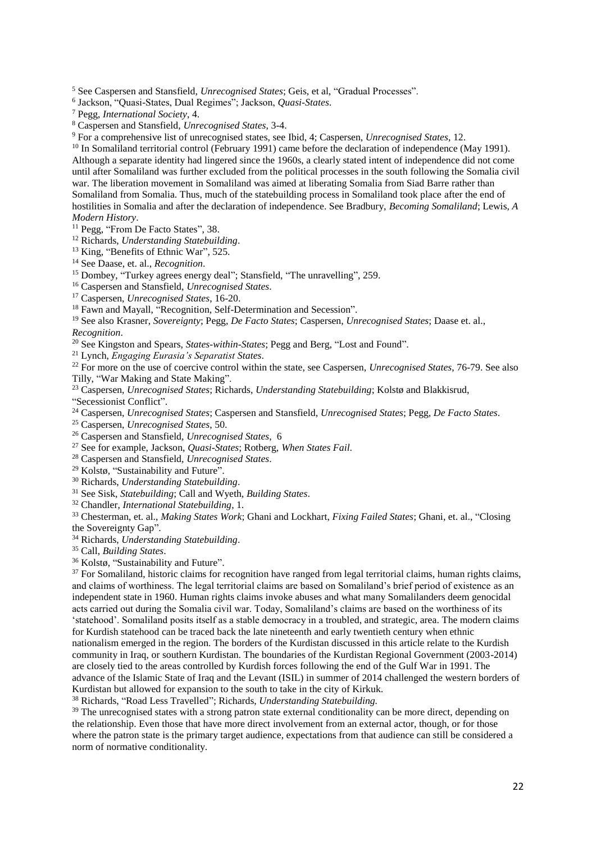<sup>5</sup> See Caspersen and Stansfield, *Unrecognised States*; Geis, et al, "Gradual Processes".

6 Jackson, "Quasi-States, Dual Regimes"; Jackson, *Quasi-States*.

<sup>7</sup> Pegg, *International Society*, 4.

<sup>8</sup> Caspersen and Stansfield, *Unrecognised States*, 3-4.

<sup>9</sup> For a comprehensive list of unrecognised states, see Ibid, 4; Caspersen, *Unrecognised States*, 12.

<sup>10</sup> In Somaliland territorial control (February 1991) came before the declaration of independence (May 1991). Although a separate identity had lingered since the 1960s, a clearly stated intent of independence did not come until after Somaliland was further excluded from the political processes in the south following the Somalia civil war. The liberation movement in Somaliland was aimed at liberating Somalia from Siad Barre rather than Somaliland from Somalia. Thus, much of the statebuilding process in Somaliland took place after the end of hostilities in Somalia and after the declaration of independence. See Bradbury, *Becoming Somaliland*; Lewis, *A Modern History*.

<sup>11</sup> Pegg, "From De Facto States", 38.

<sup>12</sup> Richards, *Understanding Statebuilding*.

<sup>13</sup> King, "Benefits of Ethnic War", 525.

<sup>14</sup> See Daase, et. al., *Recognition*.

<sup>15</sup> Dombey, "Turkey agrees energy deal"; Stansfield, "The unravelling", 259.

<sup>16</sup> Caspersen and Stansfield, *Unrecognised States*.

<sup>17</sup> Caspersen, *Unrecognised States*, 16-20.

<sup>18</sup> Fawn and Mayall, "Recognition, Self-Determination and Secession".

<sup>19</sup> See also Krasner, *Sovereignty*; Pegg, *De Facto States*; Caspersen, *Unrecognised States*; Daase et. al., *Recognition*.

<sup>20</sup> See Kingston and Spears, *States-within-States*; Pegg and Berg, "Lost and Found".

<sup>21</sup> Lynch, *Engaging Eurasia's Separatist States*.

<sup>22</sup> For more on the use of coercive control within the state, see Caspersen, *Unrecognised States*, 76-79. See also Tilly, "War Making and State Making".

<sup>23</sup> Caspersen, *Unrecognised States*; Richards, *Understanding Statebuilding*; Kolstø and Blakkisrud,

"Secessionist Conflict".

<sup>24</sup> Caspersen, *Unrecognised States*; Caspersen and Stansfield, *Unrecognised States*; Pegg, *De Facto States*.

<sup>25</sup> Caspersen, *Unrecognised States*, 50.

<sup>26</sup> Caspersen and Stansfield, *Unrecognised States*, 6

<sup>27</sup> See for example, Jackson, *Quasi-States*; Rotberg, *When States Fail*.

<sup>28</sup> Caspersen and Stansfield, *Unrecognised States*.

<sup>29</sup> Kolstø, "Sustainability and Future".

<sup>30</sup> Richards, *Understanding Statebuilding*.

<sup>31</sup> See Sisk, *Statebuilding*; Call and Wyeth, *Building States*.

<sup>32</sup> Chandler, *International Statebuilding*, 1.

<sup>33</sup> Chesterman, et. al., *Making States Work*; Ghani and Lockhart, *Fixing Failed States*; Ghani, et. al., "Closing the Sovereignty Gap".

<sup>34</sup> Richards, *Understanding Statebuilding*.

<sup>35</sup> Call, *Building States*.

<sup>36</sup> Kolstø, "Sustainability and Future".

 $37$  For Somaliland, historic claims for recognition have ranged from legal territorial claims, human rights claims, and claims of worthiness. The legal territorial claims are based on Somaliland's brief period of existence as an independent state in 1960. Human rights claims invoke abuses and what many Somalilanders deem genocidal acts carried out during the Somalia civil war. Today, Somaliland's claims are based on the worthiness of its 'statehood'. Somaliland posits itself as a stable democracy in a troubled, and strategic, area. The modern claims for Kurdish statehood can be traced back the late nineteenth and early twentieth century when ethnic nationalism emerged in the region. The borders of the Kurdistan discussed in this article relate to the Kurdish community in Iraq, or southern Kurdistan. The boundaries of the Kurdistan Regional Government (2003-2014) are closely tied to the areas controlled by Kurdish forces following the end of the Gulf War in 1991. The advance of the Islamic State of Iraq and the Levant (ISIL) in summer of 2014 challenged the western borders of Kurdistan but allowed for expansion to the south to take in the city of Kirkuk.

<sup>38</sup> Richards, "Road Less Travelled"; Richards, *Understanding Statebuilding.*

<sup>39</sup> The unrecognised states with a strong patron state external conditionality can be more direct, depending on the relationship. Even those that have more direct involvement from an external actor, though, or for those where the patron state is the primary target audience, expectations from that audience can still be considered a norm of normative conditionality.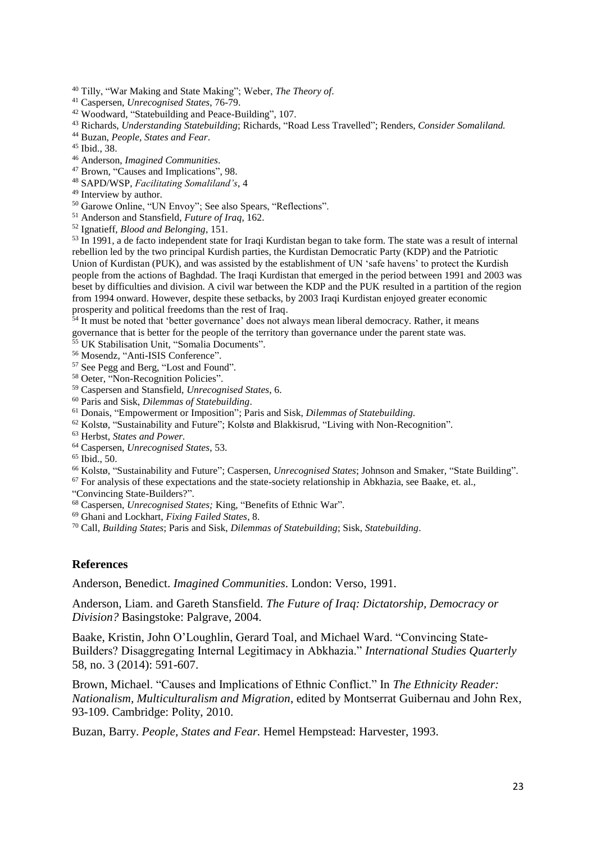<sup>40</sup> Tilly, "War Making and State Making"; Weber, *The Theory of*.

<sup>41</sup> Caspersen, *Unrecognised States*, 76-79.

<sup>42</sup> Woodward, "Statebuilding and Peace-Building", 107.

<sup>43</sup> Richards, *Understanding Statebuilding*; Richards, "Road Less Travelled"; Renders, *Consider Somaliland.*

<sup>44</sup> Buzan, *People, States and Fear*.

<sup>45</sup> Ibid., 38.

<sup>46</sup> Anderson, *Imagined Communities*.

<sup>47</sup> Brown, "Causes and Implications", 98.

<sup>48</sup> SAPD/WSP, *Facilitating Somaliland's*, 4

<sup>49</sup> Interview by author.

<sup>50</sup> Garowe Online, "UN Envoy"; See also Spears, "Reflections".

<sup>51</sup> Anderson and Stansfield, *Future of Iraq*, 162.

<sup>52</sup> Ignatieff, *Blood and Belonging*, 151.

<sup>53</sup> In 1991, a de facto independent state for Iraqi Kurdistan began to take form. The state was a result of internal rebellion led by the two principal Kurdish parties, the Kurdistan Democratic Party (KDP) and the Patriotic Union of Kurdistan (PUK), and was assisted by the establishment of UN 'safe havens' to protect the Kurdish people from the actions of Baghdad. The Iraqi Kurdistan that emerged in the period between 1991 and 2003 was beset by difficulties and division. A civil war between the KDP and the PUK resulted in a partition of the region from 1994 onward. However, despite these setbacks, by 2003 Iraqi Kurdistan enjoyed greater economic prosperity and political freedoms than the rest of Iraq.

<sup>54</sup> It must be noted that 'better governance' does not always mean liberal democracy. Rather, it means governance that is better for the people of the territory than governance under the parent state was.

<sup>55</sup> UK Stabilisation Unit, "Somalia Documents".

<sup>56</sup> Mosendz, "Anti-ISIS Conference".

<sup>57</sup> See Pegg and Berg, "Lost and Found".

<sup>58</sup> Oeter, "Non-Recognition Policies".

<sup>59</sup> Caspersen and Stansfield, *Unrecognised States*, 6.

<sup>60</sup> Paris and Sisk, *Dilemmas of Statebuilding*.

<sup>61</sup> Donais, "Empowerment or Imposition"; Paris and Sisk, *Dilemmas of Statebuilding*.

<sup>62</sup> Kolstø, "Sustainability and Future"; Kolstø and Blakkisrud, "Living with Non-Recognition".

<sup>63</sup> Herbst, *States and Power.*

<sup>64</sup> Caspersen, *Unrecognised States*, 53.

 $65$  Ibid., 50.

<sup>66</sup> Kolstø, "Sustainability and Future"; Caspersen, *Unrecognised States*; Johnson and Smaker, "State Building".

 $67$  For analysis of these expectations and the state-society relationship in Abkhazia, see Baake, et. al.,

"Convincing State-Builders?".

<sup>68</sup> Caspersen, *Unrecognised States;* King, "Benefits of Ethnic War".

<sup>69</sup> Ghani and Lockhart, *Fixing Failed States*, 8.

<sup>70</sup> Call, *Building States*; Paris and Sisk, *Dilemmas of Statebuilding*; Sisk, *Statebuilding*.

### **References**

Anderson, Benedict. *Imagined Communities*. London: Verso, 1991.

Anderson, Liam. and Gareth Stansfield. *The Future of Iraq: Dictatorship, Democracy or Division?* Basingstoke: Palgrave, 2004.

Baake, Kristin, John O'Loughlin, Gerard Toal, and Michael Ward. "Convincing State-Builders? Disaggregating Internal Legitimacy in Abkhazia." *International Studies Quarterly* 58, no. 3 (2014): 591-607.

Brown, Michael. "Causes and Implications of Ethnic Conflict." In *The Ethnicity Reader: Nationalism, Multiculturalism and Migration*, edited by Montserrat Guibernau and John Rex, 93-109. Cambridge: Polity, 2010.

Buzan, Barry. *People, States and Fear.* Hemel Hempstead: Harvester, 1993.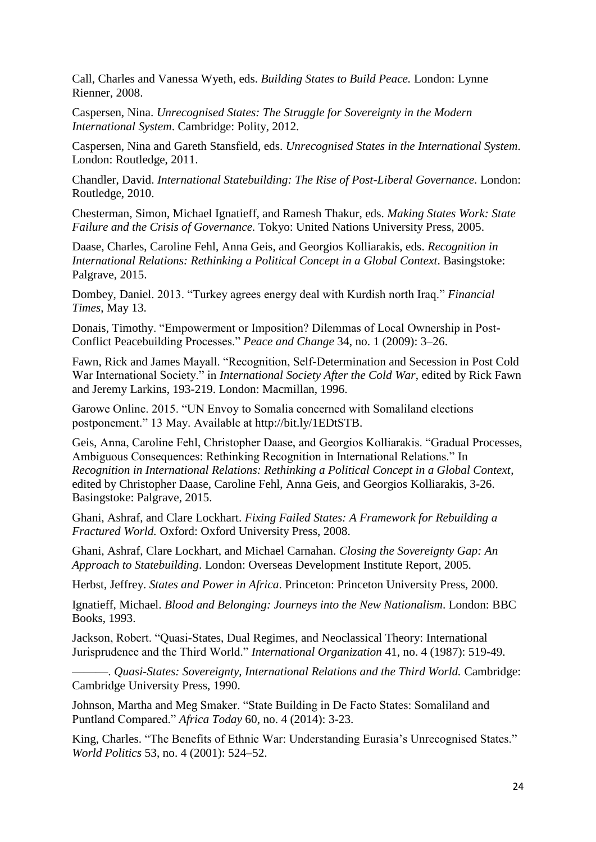Call, Charles and Vanessa Wyeth, eds. *Building States to Build Peace.* London: Lynne Rienner, 2008.

Caspersen, Nina. *Unrecognised States: The Struggle for Sovereignty in the Modern International System*. Cambridge: Polity, 2012.

Caspersen, Nina and Gareth Stansfield, eds. *Unrecognised States in the International System*. London: Routledge, 2011.

Chandler, David. *International Statebuilding: The Rise of Post-Liberal Governance*. London: Routledge, 2010.

Chesterman, Simon, Michael Ignatieff, and Ramesh Thakur, eds. *Making States Work: State Failure and the Crisis of Governance.* Tokyo: United Nations University Press, 2005.

Daase, Charles, Caroline Fehl, Anna Geis, and Georgios Kolliarakis, eds. *Recognition in International Relations: Rethinking a Political Concept in a Global Context*. Basingstoke: Palgrave, 2015.

Dombey, Daniel. 2013. "Turkey agrees energy deal with Kurdish north Iraq." *Financial Times*, May 13.

Donais, Timothy. "Empowerment or Imposition? Dilemmas of Local Ownership in Post-Conflict Peacebuilding Processes." *Peace and Change* 34, no. 1 (2009): 3–26.

Fawn, Rick and James Mayall. "Recognition, Self-Determination and Secession in Post Cold War International Society." in *International Society After the Cold War*, edited by Rick Fawn and Jeremy Larkins, 193-219. London: Macmillan, 1996.

Garowe Online. 2015. "UN Envoy to Somalia concerned with Somaliland elections postponement." 13 May. Available at http://bit.ly/1EDtSTB.

Geis, Anna, Caroline Fehl, Christopher Daase, and Georgios Kolliarakis. "Gradual Processes, Ambiguous Consequences: Rethinking Recognition in International Relations." In *Recognition in International Relations: Rethinking a Political Concept in a Global Context*, edited by Christopher Daase, Caroline Fehl, Anna Geis, and Georgios Kolliarakis, 3-26. Basingstoke: Palgrave, 2015.

Ghani, Ashraf, and Clare Lockhart. *Fixing Failed States: A Framework for Rebuilding a Fractured World.* Oxford: Oxford University Press, 2008.

Ghani, Ashraf, Clare Lockhart, and Michael Carnahan. *Closing the Sovereignty Gap: An Approach to Statebuilding*. London: Overseas Development Institute Report, 2005.

Herbst, Jeffrey. *States and Power in Africa*. Princeton: Princeton University Press, 2000.

Ignatieff, Michael. *Blood and Belonging: Journeys into the New Nationalism*. London: BBC Books, 1993.

Jackson, Robert. "Quasi-States, Dual Regimes, and Neoclassical Theory: International Jurisprudence and the Third World." *International Organization* 41, no. 4 (1987): 519-49.

———. *Quasi-States: Sovereignty, International Relations and the Third World.* Cambridge: Cambridge University Press, 1990.

Johnson, Martha and Meg Smaker. "State Building in De Facto States: Somaliland and Puntland Compared." *Africa Today* 60, no. 4 (2014): 3-23.

King, Charles. "The Benefits of Ethnic War: Understanding Eurasia's Unrecognised States." *World Politics* 53, no. 4 (2001): 524–52.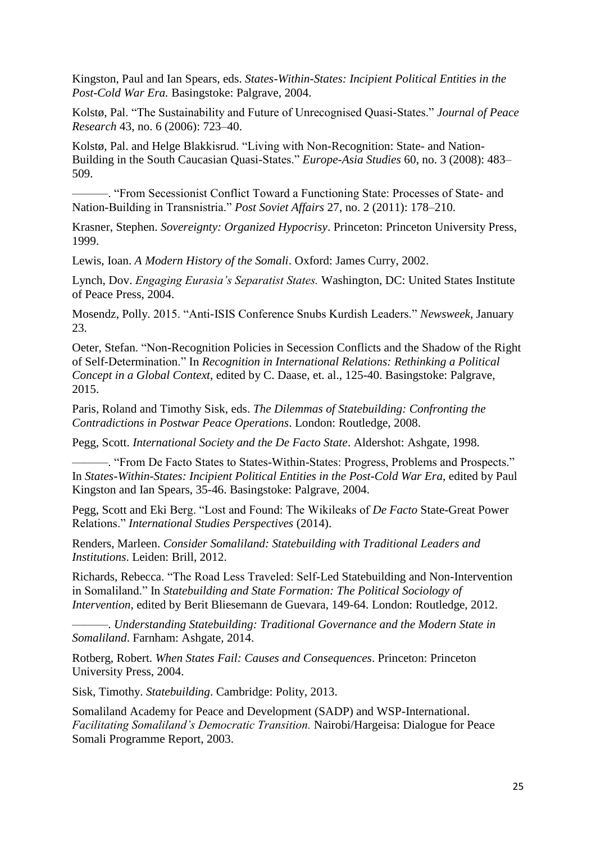Kingston, Paul and Ian Spears, eds. *States-Within-States: Incipient Political Entities in the Post-Cold War Era.* Basingstoke: Palgrave, 2004.

Kolstø, Pal. "The Sustainability and Future of Unrecognised Quasi-States." *Journal of Peace Research* 43, no. 6 (2006): 723–40.

Kolstø, Pal. and Helge Blakkisrud. "Living with Non-Recognition: State- and Nation-Building in the South Caucasian Quasi-States." *Europe-Asia Studies* 60, no. 3 (2008): 483– 509.

———. "From Secessionist Conflict Toward a Functioning State: Processes of State- and Nation-Building in Transnistria." *Post Soviet Affairs* 27, no. 2 (2011): 178–210.

Krasner, Stephen. *Sovereignty: Organized Hypocrisy*. Princeton: Princeton University Press, 1999.

Lewis, Ioan. *A Modern History of the Somali*. Oxford: James Curry, 2002.

Lynch, Dov. *Engaging Eurasia's Separatist States.* Washington, DC: United States Institute of Peace Press, 2004.

Mosendz, Polly. 2015. "Anti-ISIS Conference Snubs Kurdish Leaders." *Newsweek*, January 23.

Oeter, Stefan. "Non-Recognition Policies in Secession Conflicts and the Shadow of the Right of Self-Determination." In *Recognition in International Relations: Rethinking a Political Concept in a Global Context*, edited by C. Daase, et. al., 125-40. Basingstoke: Palgrave, 2015.

Paris, Roland and Timothy Sisk, eds. *The Dilemmas of Statebuilding: Confronting the Contradictions in Postwar Peace Operations*. London: Routledge, 2008.

Pegg, Scott. *International Society and the De Facto State*. Aldershot: Ashgate, 1998.

———. "From De Facto States to States-Within-States: Progress, Problems and Prospects." In *States-Within-States: Incipient Political Entities in the Post-Cold War Era*, edited by Paul Kingston and Ian Spears, 35-46. Basingstoke: Palgrave, 2004.

Pegg, Scott and Eki Berg. "Lost and Found: The Wikileaks of *De Facto* State-Great Power Relations." *International Studies Perspectives* (2014).

Renders, Marleen. *Consider Somaliland: Statebuilding with Traditional Leaders and Institutions*. Leiden: Brill, 2012.

Richards, Rebecca. "The Road Less Traveled: Self-Led Statebuilding and Non-Intervention in Somaliland." In *Statebuilding and State Formation: The Political Sociology of Intervention*, edited by Berit Bliesemann de Guevara, 149-64. London: Routledge, 2012.

———. *Understanding Statebuilding: Traditional Governance and the Modern State in Somaliland*. Farnham: Ashgate, 2014.

Rotberg, Robert. *When States Fail: Causes and Consequences*. Princeton: Princeton University Press, 2004.

Sisk, Timothy. *Statebuilding*. Cambridge: Polity, 2013.

Somaliland Academy for Peace and Development (SADP) and WSP-International. *Facilitating Somaliland's Democratic Transition.* Nairobi/Hargeisa: Dialogue for Peace Somali Programme Report, 2003.